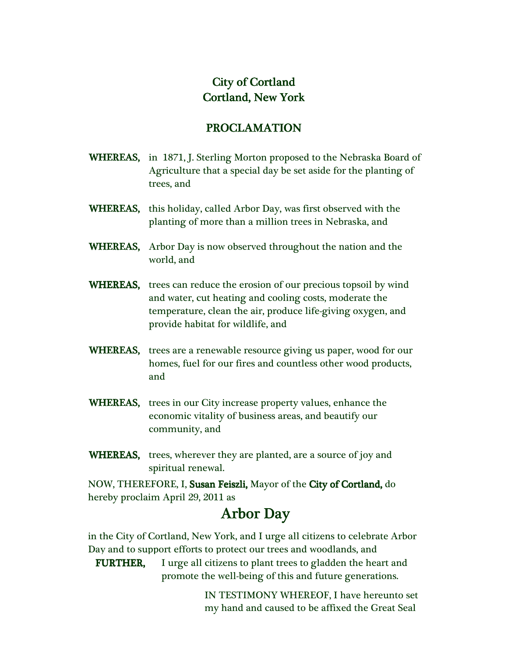## City of Cortland Cortland, New York York

## PROCLAMATION PROCLAMATION

- WHEREAS, in 1871, J. Sterling Morton proposed to the Nebraska Board of Agriculture that a special day be set aside for the planting of trees, and
- WHEREAS, this holiday, called Arbor Day, was first observed with the planting of more than a million trees in Nebraska, and
- WHEREAS, Arbor Day is now observed throughout the nation and the world, and
- **WHEREAS,** trees can reduce the erosion of our precious topsoil by wind and water, cut heating and cooling costs, moderate the temperature, clean the air, produce life-giving oxygen, and provide habitat for wildlife, and
- WHEREAS, trees are a renewable resource giving us paper, wood for our homes, fuel for our fires and countless other wood products, and
- WHEREAS, trees in our City increase property values, enhance the economic vitality of business areas, and beautify our community, and
- WHEREAS, trees, wherever they are planted, are a source of joy and spiritual renewal.

NOW, THEREFORE, I, Susan Feiszli, Mayor of the City of Cortland, do hereby proclaim April 29, 2011 as

## Arbor Day

 in the City of Cortland, New York, and I urge all citizens to celebrate Arbor Day and to support efforts to protect our trees and woodlands, and

**FURTHER,** I urge all citizens to plant trees to gladden the heart and promote the well-being of this and future generations.

> IN TESTIMONY WHEREOF, I have hereunto set my hand and caused to be affixed the Great Seal